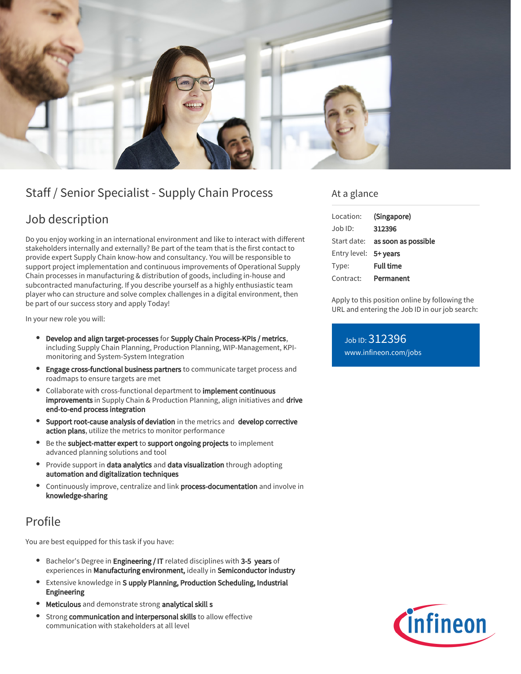

# Staff / Senior Specialist - Supply Chain Process

### Job description

Do you enjoy working in an international environment and like to interact with different stakeholders internally and externally? Be part of the team that is the first contact to provide expert Supply Chain know-how and consultancy. You will be responsible to support project implementation and continuous improvements of Operational Supply Chain processes in manufacturing & distribution of goods, including in-house and subcontracted manufacturing. If you describe yourself as a highly enthusiastic team player who can structure and solve complex challenges in a digital environment, then be part of our success story and apply Today!

In your new role you will:

- Develop and align target-processes for Supply Chain Process-KPIs / metrics, including Supply Chain Planning, Production Planning, WIP-Management, KPImonitoring and System-System Integration
- Engage cross-functional business partners to communicate target process and roadmaps to ensure targets are met
- Collaborate with cross-functional department to *implement continuous* improvements in Supply Chain & Production Planning, align initiatives and drive end-to-end process integration
- **•** Support root-cause analysis of deviation in the metrics and develop corrective action plans, utilize the metrics to monitor performance
- Be the subject-matter expert to support ongoing projects to implement advanced planning solutions and tool
- Provide support in data analytics and data visualization through adopting automation and digitalization techniques
- Continuously improve, centralize and link process-documentation and involve in knowledge-sharing

## Profile

You are best equipped for this task if you have:

- **Bachelor's Degree in Engineering / IT related disciplines with 3-5 years of** experiences in Manufacturing environment, ideally in Semiconductor industry
- Extensive knowledge in S upply Planning, Production Scheduling, Industrial Engineering
- Meticulous and demonstrate strong analytical skill s
- $\bullet$ Strong communication and interpersonal skills to allow effective communication with stakeholders at all level

### At a glance

| Location:             | (Singapore)                            |
|-----------------------|----------------------------------------|
| $Job$ ID:             | 312396                                 |
|                       | Start date: <b>as soon as possible</b> |
| Entry level: 5+ years |                                        |
| Type:                 | <b>Full time</b>                       |
| Contract:             | Permanent                              |

Apply to this position online by following the URL and entering the Job ID in our job search:

Job ID: 312396 [www.infineon.com/jobs](https://www.infineon.com/jobs)